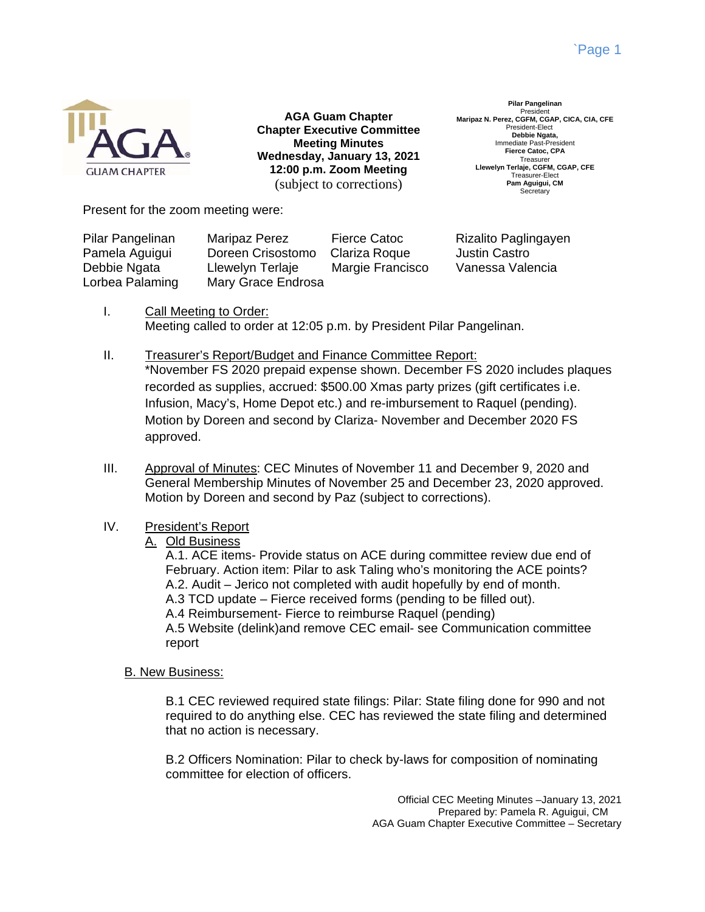

**AGA Guam Chapter Chapter Executive Committee Meeting Minutes Wednesday, January 13, 2021 12:00 p.m. Zoom Meeting**  (subject to corrections)

**Pilar Pangelinan**  President **Maripaz N. Perez, CGFM, CGAP, CICA, CIA, CFE**  President-Elect **Debbie Ngata,**  Immediate Past-President **Fierce Catoc, CPA**  Treasurer **Llewelyn Terlaje, CGFM, CGAP, CFE**  Treasurer-Elect **Pam Aguigui, CM**  Secretary

Present for the zoom meeting were:

| Pilar Pangelinan | <b>Maripaz Perez</b> | Fierce Catoc     | Rizalito Paglingayen |
|------------------|----------------------|------------------|----------------------|
| Pamela Aguigui   | Doreen Crisostomo    | Clariza Roque    | <b>Justin Castro</b> |
| Debbie Ngata     | Llewelyn Terlaje     | Margie Francisco | Vanessa Valencia     |
| Lorbea Palaming  | Mary Grace Endrosa   |                  |                      |

- I. Call Meeting to Order: Meeting called to order at 12:05 p.m. by President Pilar Pangelinan.
- II. Treasurer's Report/Budget and Finance Committee Report: \*November FS 2020 prepaid expense shown. December FS 2020 includes plaques recorded as supplies, accrued: \$500.00 Xmas party prizes (gift certificates i.e. Infusion, Macy's, Home Depot etc.) and re-imbursement to Raquel (pending). Motion by Doreen and second by Clariza- November and December 2020 FS approved.
- III. Approval of Minutes: CEC Minutes of November 11 and December 9, 2020 and General Membership Minutes of November 25 and December 23, 2020 approved. Motion by Doreen and second by Paz (subject to corrections).

# IV. President's Report

# A. Old Business

A.1. ACE items- Provide status on ACE during committee review due end of February. Action item: Pilar to ask Taling who's monitoring the ACE points? A.2. Audit – Jerico not completed with audit hopefully by end of month. A.3 TCD update – Fierce received forms (pending to be filled out). A.4 Reimbursement- Fierce to reimburse Raquel (pending) A.5 Website (delink)and remove CEC email- see Communication committee report

# B. New Business:

B.1 CEC reviewed required state filings: Pilar: State filing done for 990 and not required to do anything else. CEC has reviewed the state filing and determined that no action is necessary.

B.2 Officers Nomination: Pilar to check by-laws for composition of nominating committee for election of officers.

> Official CEC Meeting Minutes –January 13, 2021 Prepared by: Pamela R. Aguigui, CM AGA Guam Chapter Executive Committee – Secretary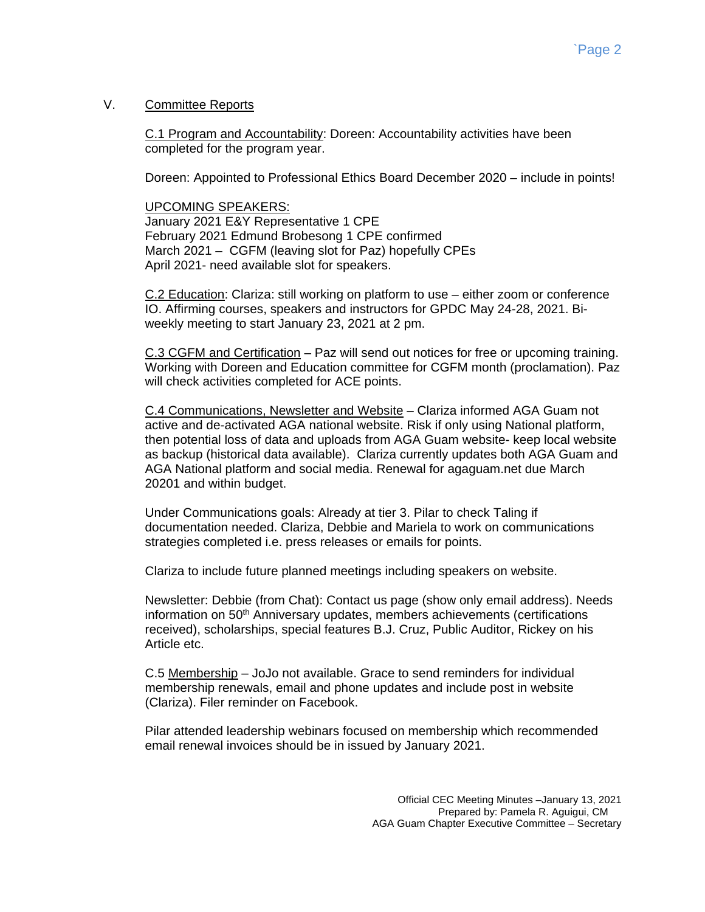### V. Committee Reports

C.1 Program and Accountability: Doreen: Accountability activities have been completed for the program year.

Doreen: Appointed to Professional Ethics Board December 2020 – include in points!

### UPCOMING SPEAKERS:

January 2021 E&Y Representative 1 CPE February 2021 Edmund Brobesong 1 CPE confirmed March 2021 – CGFM (leaving slot for Paz) hopefully CPEs April 2021- need available slot for speakers.

C.2 Education: Clariza: still working on platform to use – either zoom or conference IO. Affirming courses, speakers and instructors for GPDC May 24-28, 2021. Biweekly meeting to start January 23, 2021 at 2 pm.

C.3 CGFM and Certification – Paz will send out notices for free or upcoming training. Working with Doreen and Education committee for CGFM month (proclamation). Paz will check activities completed for ACE points.

C.4 Communications, Newsletter and Website – Clariza informed AGA Guam not active and de-activated AGA national website. Risk if only using National platform, then potential loss of data and uploads from AGA Guam website- keep local website as backup (historical data available). Clariza currently updates both AGA Guam and AGA National platform and social media. Renewal for agaguam.net due March 20201 and within budget.

Under Communications goals: Already at tier 3. Pilar to check Taling if documentation needed. Clariza, Debbie and Mariela to work on communications strategies completed i.e. press releases or emails for points.

Clariza to include future planned meetings including speakers on website.

Newsletter: Debbie (from Chat): Contact us page (show only email address). Needs information on 50<sup>th</sup> Anniversary updates, members achievements (certifications received), scholarships, special features B.J. Cruz, Public Auditor, Rickey on his Article etc.

C.5 Membership – JoJo not available. Grace to send reminders for individual membership renewals, email and phone updates and include post in website (Clariza). Filer reminder on Facebook.

Pilar attended leadership webinars focused on membership which recommended email renewal invoices should be in issued by January 2021.